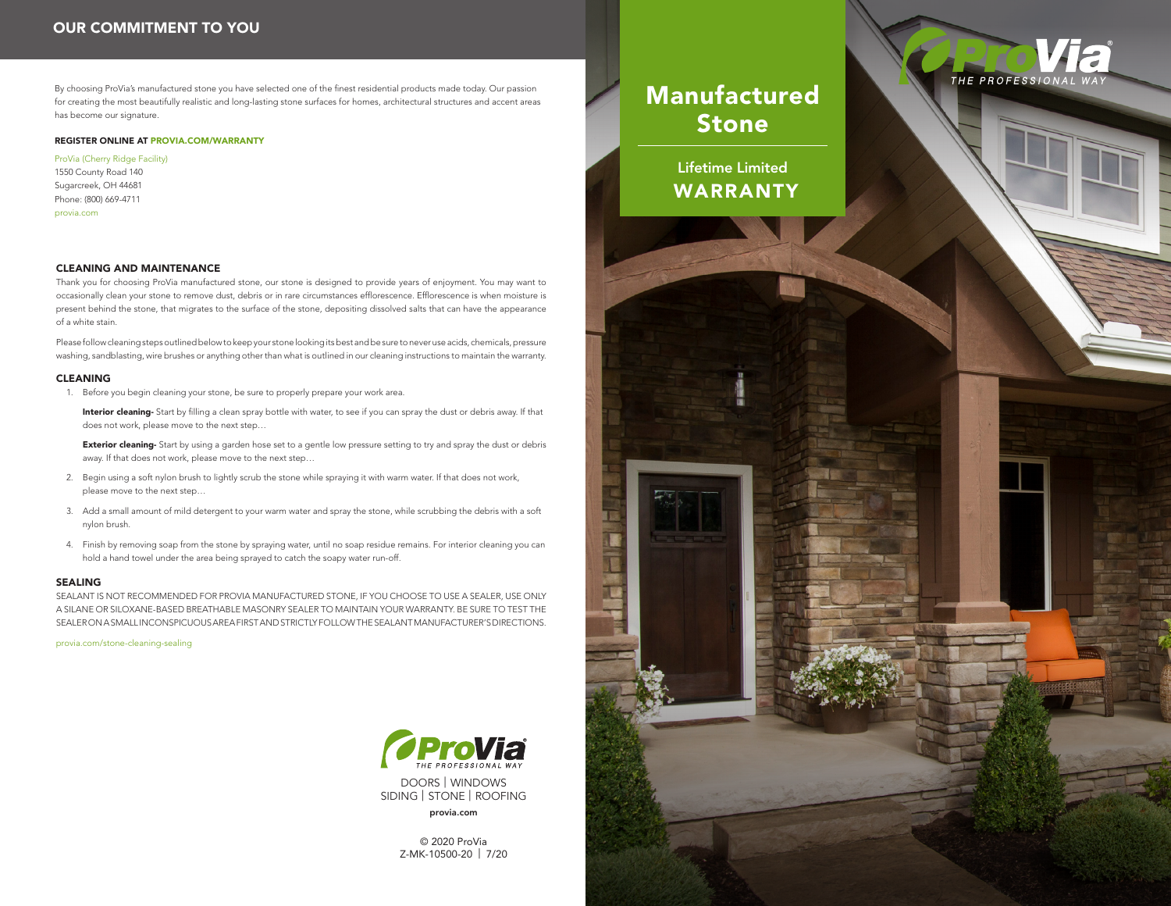By choosing ProVia's manufactured stone you have selected one of the finest residential products made today. Our passion for creating the most beautifully realistic and long-lasting stone surfaces for homes, architectural structures and accent areas has become our signature.

# REGISTER ONLINE AT PROVIA.COM/WARRANTY

ProVia (Cherry Ridge Facility) 1550 County Road 140 Sugarcreek, OH 44681 Phone: (800) 669-4711

provia.com

# CLEANING AND MAINTENANCE

Thank you for choosing ProVia manufactured stone, our stone is designed to provide years of enjoyment. You may want to occasionally clean your stone to remove dust, debris or in rare circumstances efflorescence. Efflorescence is when moisture is present behind the stone, that migrates to the surface of the stone, depositing dissolved salts that can have the appearance of a white stain.

Please follow cleaning steps outlined below to keep your stone looking its best and be sure to never use acids, chemicals, pressure washing, sandblasting, wire brushes or anything other than what is outlined in our cleaning instructions to maintain the warranty.

#### CLEANING

1. Before you begin cleaning your stone, be sure to properly prepare your work area.

Interior cleaning- Start by filling a clean spray bottle with water, to see if you can spray the dust or debris away. If that does not work, please move to the next step…

Exterior cleaning- Start by using a garden hose set to a gentle low pressure setting to try and spray the dust or debris away. If that does not work, please move to the next step…

- 2. Begin using a soft nylon brush to lightly scrub the stone while spraying it with warm water. If that does not work, please move to the next step…
- 3. Add a small amount of mild detergent to your warm water and spray the stone, while scrubbing the debris with a soft nylon brush.
- 4. Finish by removing soap from the stone by spraying water, until no soap residue remains. For interior cleaning you can hold a hand towel under the area being sprayed to catch the soapy water run-off.

#### SEALING

SEALANT IS NOT RECOMMENDED FOR PROVIA MANUFACTURED STONE, IF YOU CHOOSE TO USE A SEALER, USE ONLY A SILANE OR SILOXANE-BASED BREATHABLE MASONRY SEALER TO MAINTAIN YOUR WARRANTY. BE SURE TO TEST THE SEALER ON A SMALL INCONSPICUOUS AREA FIRST AND STRICTLY FOLLOW THE SEALANT MANUFACTURER'S DIRECTIONS.

provia.com/stone-cleaning-sealing



DOORS | WINDOWS SIDING | STONE | ROOFING provia.com

> © 2020 ProVia Z-MK-10500-20 | 7/20

# Manufactured Stone

Lifetime Limited WARRANTY